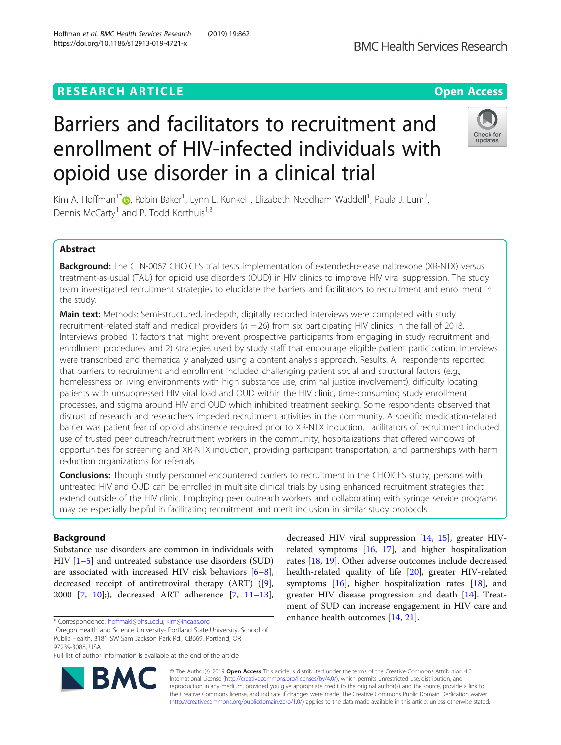## **RESEARCH ARTICLE Example 2014 12:30 The Contract of Contract ACCESS**

# Barriers and facilitators to recruitment and enrollment of HIV-infected individuals with opioid use disorder in a clinical trial

Kim A. Hoffman<sup>1\*</sup>®, Robin Baker<sup>1</sup>, Lynn E. Kunkel<sup>1</sup>, Elizabeth Needham Waddell<sup>1</sup>, Paula J. Lum<sup>2</sup> , Dennis McCarty<sup>1</sup> and P. Todd Korthuis<sup>1,3</sup>

## Abstract

Background: The CTN-0067 CHOICES trial tests implementation of extended-release naltrexone (XR-NTX) versus treatment-as-usual (TAU) for opioid use disorders (OUD) in HIV clinics to improve HIV viral suppression. The study team investigated recruitment strategies to elucidate the barriers and facilitators to recruitment and enrollment in the study.

Main text: Methods: Semi-structured, in-depth, digitally recorded interviews were completed with study recruitment-related staff and medical providers ( $n = 26$ ) from six participating HIV clinics in the fall of 2018. Interviews probed 1) factors that might prevent prospective participants from engaging in study recruitment and enrollment procedures and 2) strategies used by study staff that encourage eligible patient participation. Interviews were transcribed and thematically analyzed using a content analysis approach. Results: All respondents reported that barriers to recruitment and enrollment included challenging patient social and structural factors (e.g., homelessness or living environments with high substance use, criminal justice involvement), difficulty locating patients with unsuppressed HIV viral load and OUD within the HIV clinic, time-consuming study enrollment processes, and stigma around HIV and OUD which inhibited treatment seeking. Some respondents observed that distrust of research and researchers impeded recruitment activities in the community. A specific medication-related barrier was patient fear of opioid abstinence required prior to XR-NTX induction. Facilitators of recruitment included use of trusted peer outreach/recruitment workers in the community, hospitalizations that offered windows of opportunities for screening and XR-NTX induction, providing participant transportation, and partnerships with harm

**Conclusions:** Though study personnel encountered barriers to recruitment in the CHOICES study, persons with untreated HIV and OUD can be enrolled in multisite clinical trials by using enhanced recruitment strategies that extend outside of the HIV clinic. Employing peer outreach workers and collaborating with syringe service programs may be especially helpful in facilitating recruitment and merit inclusion in similar study protocols.

## Background

Substance use disorders are common in individuals with HIV [[1](#page-9-0)–[5\]](#page-9-0) and untreated substance use disorders (SUD) are associated with increased HIV risk behaviors [\[6](#page-9-0)–[8](#page-10-0)], decreased receipt of antiretroviral therapy (ART) ([\[9](#page-10-0)], 2000 [\[7](#page-9-0), [10](#page-10-0)];), decreased ART adherence [[7,](#page-9-0) [11](#page-10-0)–[13](#page-10-0)],

\* Correspondence: [hoffmaki@ohsu.edu](mailto:hoffmaki@ohsu.edu); [kim@incaas.org](mailto:kim@incaas.org) <sup>1</sup>

<sup>1</sup>Oregon Health and Science University- Portland State University, School of Public Health, 3181 SW Sam Jackson Park Rd., CB669, Portland, OR 97239-3088, USA

Full list of author information is available at the end of the article

© The Author(s). 2019 **Open Access** This article is distributed under the terms of the Creative Commons Attribution 4.0 International License [\(http://creativecommons.org/licenses/by/4.0/](http://creativecommons.org/licenses/by/4.0/)), which permits unrestricted use, distribution, and reproduction in any medium, provided you give appropriate credit to the original author(s) and the source, provide a link to the Creative Commons license, and indicate if changes were made. The Creative Commons Public Domain Dedication waiver [\(http://creativecommons.org/publicdomain/zero/1.0/](http://creativecommons.org/publicdomain/zero/1.0/)) applies to the data made available in this article, unless otherwise stated.





related symptoms [[16](#page-10-0), [17\]](#page-10-0), and higher hospitalization rates [\[18](#page-10-0), [19\]](#page-10-0). Other adverse outcomes include decreased health-related quality of life [[20\]](#page-10-0), greater HIV-related symptoms  $[16]$  $[16]$  $[16]$ , higher hospitalization rates  $[18]$  $[18]$  $[18]$ , and greater HIV disease progression and death [\[14](#page-10-0)]. Treatment of SUD can increase engagement in HIV care and enhance health outcomes [\[14,](#page-10-0) [21\]](#page-10-0).

decreased HIV viral suppression [[14,](#page-10-0) [15\]](#page-10-0), greater HIV-

reduction organizations for referrals.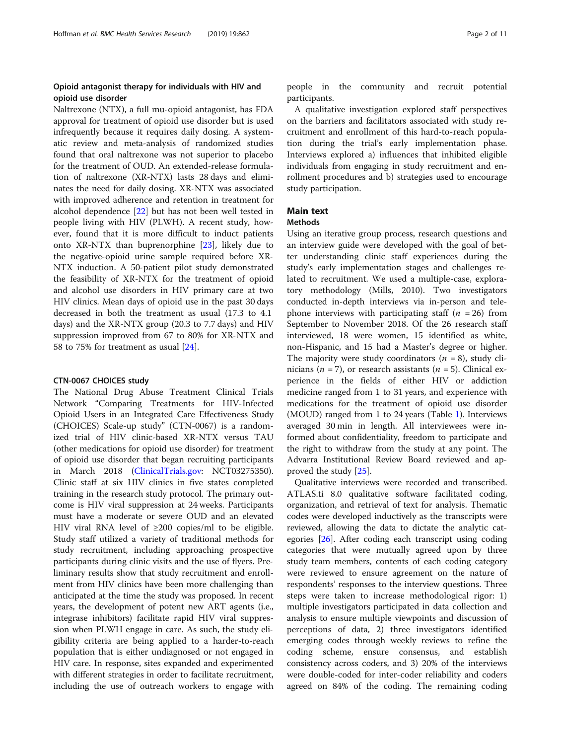## Opioid antagonist therapy for individuals with HIV and opioid use disorder

Naltrexone (NTX), a full mu-opioid antagonist, has FDA approval for treatment of opioid use disorder but is used infrequently because it requires daily dosing. A systematic review and meta-analysis of randomized studies found that oral naltrexone was not superior to placebo for the treatment of OUD. An extended-release formulation of naltrexone (XR-NTX) lasts 28 days and eliminates the need for daily dosing. XR-NTX was associated with improved adherence and retention in treatment for alcohol dependence [[22\]](#page-10-0) but has not been well tested in people living with HIV (PLWH). A recent study, however, found that it is more difficult to induct patients onto XR-NTX than buprenorphine [\[23](#page-10-0)], likely due to the negative-opioid urine sample required before XR-NTX induction. A 50-patient pilot study demonstrated the feasibility of XR-NTX for the treatment of opioid and alcohol use disorders in HIV primary care at two HIV clinics. Mean days of opioid use in the past 30 days decreased in both the treatment as usual (17.3 to 4.1 days) and the XR-NTX group (20.3 to 7.7 days) and HIV suppression improved from 67 to 80% for XR-NTX and 58 to 75% for treatment as usual [\[24](#page-10-0)].

#### CTN-0067 CHOICES study

The National Drug Abuse Treatment Clinical Trials Network "Comparing Treatments for HIV-Infected Opioid Users in an Integrated Care Effectiveness Study (CHOICES) Scale-up study" (CTN-0067) is a randomized trial of HIV clinic-based XR-NTX versus TAU (other medications for opioid use disorder) for treatment of opioid use disorder that began recruiting participants in March 2018 ([ClinicalTrials.gov:](http://clinicaltrials.gov) NCT03275350). Clinic staff at six HIV clinics in five states completed training in the research study protocol. The primary outcome is HIV viral suppression at 24 weeks. Participants must have a moderate or severe OUD and an elevated HIV viral RNA level of ≥200 copies/ml to be eligible. Study staff utilized a variety of traditional methods for study recruitment, including approaching prospective participants during clinic visits and the use of flyers. Preliminary results show that study recruitment and enrollment from HIV clinics have been more challenging than anticipated at the time the study was proposed. In recent years, the development of potent new ART agents (i.e., integrase inhibitors) facilitate rapid HIV viral suppression when PLWH engage in care. As such, the study eligibility criteria are being applied to a harder-to-reach population that is either undiagnosed or not engaged in HIV care. In response, sites expanded and experimented with different strategies in order to facilitate recruitment, including the use of outreach workers to engage with people in the community and recruit potential participants.

A qualitative investigation explored staff perspectives on the barriers and facilitators associated with study recruitment and enrollment of this hard-to-reach population during the trial's early implementation phase. Interviews explored a) influences that inhibited eligible individuals from engaging in study recruitment and enrollment procedures and b) strategies used to encourage study participation.

## Main text

### **Methods**

Using an iterative group process, research questions and an interview guide were developed with the goal of better understanding clinic staff experiences during the study's early implementation stages and challenges related to recruitment. We used a multiple-case, exploratory methodology (Mills, 2010). Two investigators conducted in-depth interviews via in-person and telephone interviews with participating staff  $(n = 26)$  from September to November 2018. Of the 26 research staff interviewed, 18 were women, 15 identified as white, non-Hispanic, and 15 had a Master's degree or higher. The majority were study coordinators  $(n = 8)$ , study clinicians ( $n = 7$ ), or research assistants ( $n = 5$ ). Clinical experience in the fields of either HIV or addiction medicine ranged from 1 to 31 years, and experience with medications for the treatment of opioid use disorder (MOUD) ranged from 1 to 24 years (Table [1](#page-2-0)). Interviews averaged 30 min in length. All interviewees were informed about confidentiality, freedom to participate and the right to withdraw from the study at any point. The Advarra Institutional Review Board reviewed and approved the study [[25](#page-10-0)].

Qualitative interviews were recorded and transcribed. ATLAS.ti 8.0 qualitative software facilitated coding, organization, and retrieval of text for analysis. Thematic codes were developed inductively as the transcripts were reviewed, allowing the data to dictate the analytic categories [[26\]](#page-10-0). After coding each transcript using coding categories that were mutually agreed upon by three study team members, contents of each coding category were reviewed to ensure agreement on the nature of respondents' responses to the interview questions. Three steps were taken to increase methodological rigor: 1) multiple investigators participated in data collection and analysis to ensure multiple viewpoints and discussion of perceptions of data, 2) three investigators identified emerging codes through weekly reviews to refine the coding scheme, ensure consensus, and establish consistency across coders, and 3) 20% of the interviews were double-coded for inter-coder reliability and coders agreed on 84% of the coding. The remaining coding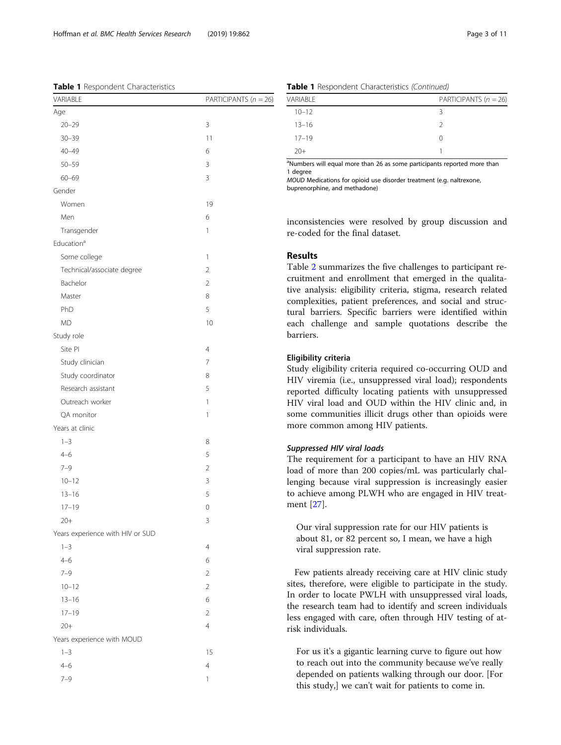<span id="page-2-0"></span>Table 1 Respondent Characteristics

| VARIABLE                         | PARTICIPANTS $(n = 26)$ |
|----------------------------------|-------------------------|
| Age                              |                         |
| $20 - 29$                        | 3                       |
| $30 - 39$                        | 11                      |
| $40 - 49$                        | 6                       |
| $50 - 59$                        | 3                       |
| $60 - 69$                        | 3                       |
| Gender                           |                         |
| Women                            | 19                      |
| Men                              | 6                       |
| Transgender                      | $\mathbf{1}$            |
| Education <sup>a</sup>           |                         |
| Some college                     | 1                       |
| Technical/associate degree       | $\overline{2}$          |
| Bachelor                         | $\overline{2}$          |
| Master                           | 8                       |
| PhD                              | 5                       |
| <b>MD</b>                        | 10                      |
| Study role                       |                         |
| Site PI                          | 4                       |
| Study clinician                  | $\overline{7}$          |
| Study coordinator                | 8                       |
| Research assistant               | 5                       |
| Outreach worker                  | $\mathbf{1}$            |
| QA monitor                       | 1                       |
| Years at clinic                  |                         |
| $1 - 3$                          | 8                       |
| $4 - 6$                          | 5                       |
| $7 - 9$                          | $\overline{2}$          |
| $10 - 12$                        | 3                       |
| $13 - 16$                        | 5                       |
| $17 - 19$                        | 0                       |
| $20+$                            | 3                       |
| Years experience with HIV or SUD |                         |
| $1 - 3$                          | $\overline{4}$          |
| $4 - 6$                          | 6                       |
| $7 - 9$                          | $\overline{2}$          |
| $10 - 12$                        | $\overline{2}$          |
| $13 - 16$                        | 6                       |
| $17 - 19$                        | $\overline{2}$          |
| $20+$                            | $\overline{4}$          |
| Years experience with MOUD       |                         |
| $1 - 3$                          | 15                      |
| $4 - 6$                          | $\overline{4}$          |
| $7 - 9$                          | 1                       |
|                                  |                         |

|  | Table 1 Respondent Characteristics (Continued) |  |
|--|------------------------------------------------|--|
|  |                                                |  |

| VARIABLE  | PARTICIPANTS $(n = 26)$ |
|-----------|-------------------------|
| $10 - 12$ | ₹                       |
| $13 - 16$ | $\mathcal{D}$           |
| $17 - 19$ | 0                       |
| $20+$     |                         |

<sup>a</sup>Numbers will equal more than 26 as some participants reported more than 1 degree

MOUD Medications for opioid use disorder treatment (e.g. naltrexone,

buprenorphine, and methadone)

inconsistencies were resolved by group discussion and re-coded for the final dataset.

## Results

Table [2](#page-3-0) summarizes the five challenges to participant recruitment and enrollment that emerged in the qualitative analysis: eligibility criteria, stigma, research related complexities, patient preferences, and social and structural barriers. Specific barriers were identified within each challenge and sample quotations describe the barriers.

## Eligibility criteria

Study eligibility criteria required co-occurring OUD and HIV viremia (i.e., unsuppressed viral load); respondents reported difficulty locating patients with unsuppressed HIV viral load and OUD within the HIV clinic and, in some communities illicit drugs other than opioids were more common among HIV patients.

#### Suppressed HIV viral loads

The requirement for a participant to have an HIV RNA load of more than 200 copies/mL was particularly challenging because viral suppression is increasingly easier to achieve among PLWH who are engaged in HIV treatment [[27\]](#page-10-0).

Our viral suppression rate for our HIV patients is about 81, or 82 percent so, I mean, we have a high viral suppression rate.

Few patients already receiving care at HIV clinic study sites, therefore, were eligible to participate in the study. In order to locate PWLH with unsuppressed viral loads, the research team had to identify and screen individuals less engaged with care, often through HIV testing of atrisk individuals.

For us it's a gigantic learning curve to figure out how to reach out into the community because we've really depended on patients walking through our door. [For this study,] we can't wait for patients to come in.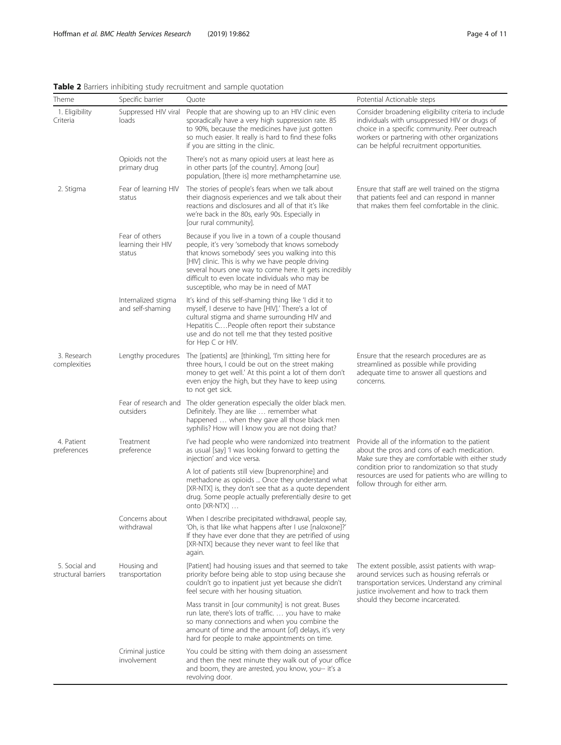| Theme                                | Specific barrier                               | Quote                                                                                                                                                                                                                                                                                                                                                               | Potential Actionable steps                                                                                                                                                                                                                                                                 |  |
|--------------------------------------|------------------------------------------------|---------------------------------------------------------------------------------------------------------------------------------------------------------------------------------------------------------------------------------------------------------------------------------------------------------------------------------------------------------------------|--------------------------------------------------------------------------------------------------------------------------------------------------------------------------------------------------------------------------------------------------------------------------------------------|--|
| 1. Eligibility<br>Criteria           | Suppressed HIV viral<br>loads                  | People that are showing up to an HIV clinic even<br>sporadically have a very high suppression rate. 85<br>to 90%, because the medicines have just gotten<br>so much easier. It really is hard to find these folks<br>if you are sitting in the clinic.                                                                                                              | Consider broadening eligibility criteria to include<br>individuals with unsuppressed HIV or drugs of<br>choice in a specific community. Peer outreach<br>workers or partnering with other organizations<br>can be helpful recruitment opportunities.                                       |  |
|                                      | Opioids not the<br>primary drug                | There's not as many opioid users at least here as<br>in other parts [of the country]. Among [our]<br>population, [there is] more methamphetamine use.                                                                                                                                                                                                               |                                                                                                                                                                                                                                                                                            |  |
| 2. Stigma                            | Fear of learning HIV<br>status                 | The stories of people's fears when we talk about<br>their diagnosis experiences and we talk about their<br>reactions and disclosures and all of that it's like<br>we're back in the 80s, early 90s. Especially in<br>[our rural community].                                                                                                                         | Ensure that staff are well trained on the stigma<br>that patients feel and can respond in manner<br>that makes them feel comfortable in the clinic.                                                                                                                                        |  |
|                                      | Fear of others<br>learning their HIV<br>status | Because if you live in a town of a couple thousand<br>people, it's very 'somebody that knows somebody<br>that knows somebody' sees you walking into this<br>[HIV] clinic. This is why we have people driving<br>several hours one way to come here. It gets incredibly<br>difficult to even locate individuals who may be<br>susceptible, who may be in need of MAT |                                                                                                                                                                                                                                                                                            |  |
|                                      | Internalized stigma<br>and self-shaming        | It's kind of this self-shaming thing like 'I did it to<br>myself, I deserve to have [HIV].' There's a lot of<br>cultural stigma and shame surrounding HIV and<br>Hepatitis CPeople often report their substance<br>use and do not tell me that they tested positive<br>for Hep C or HIV.                                                                            |                                                                                                                                                                                                                                                                                            |  |
| 3. Research<br>complexities          | Lengthy procedures                             | The [patients] are [thinking], 'I'm sitting here for<br>three hours, I could be out on the street making<br>money to get well.' At this point a lot of them don't<br>even enjoy the high, but they have to keep using<br>to not get sick.                                                                                                                           | Ensure that the research procedures are as<br>streamlined as possible while providing<br>adequate time to answer all questions and<br>concerns.                                                                                                                                            |  |
|                                      | outsiders                                      | Fear of research and The older generation especially the older black men.<br>Definitely. They are like  remember what<br>happened  when they gave all those black men<br>syphilis? How will I know you are not doing that?                                                                                                                                          |                                                                                                                                                                                                                                                                                            |  |
| 4. Patient<br>preferences            | Treatment<br>preference                        | I've had people who were randomized into treatment<br>as usual [say] 'I was looking forward to getting the<br>injection' and vice versa.                                                                                                                                                                                                                            | Provide all of the information to the patient<br>about the pros and cons of each medication.<br>Make sure they are comfortable with either study<br>condition prior to randomization so that study<br>resources are used for patients who are willing to<br>follow through for either arm. |  |
|                                      |                                                | A lot of patients still view [buprenorphine] and<br>methadone as opioids  Once they understand what<br>[XR-NTX] is, they don't see that as a quote dependent<br>drug. Some people actually preferentially desire to get<br>onto [XR-NTX]                                                                                                                            |                                                                                                                                                                                                                                                                                            |  |
|                                      | Concerns about<br>withdrawal                   | When I describe precipitated withdrawal, people say,<br>'Oh, is that like what happens after I use [naloxone]?'<br>If they have ever done that they are petrified of using<br>[XR-NTX] because they never want to feel like that<br>again.                                                                                                                          |                                                                                                                                                                                                                                                                                            |  |
| 5. Social and<br>structural barriers | Housing and<br>transportation                  | [Patient] had housing issues and that seemed to take<br>priority before being able to stop using because she<br>couldn't go to inpatient just yet because she didn't<br>feel secure with her housing situation.                                                                                                                                                     | The extent possible, assist patients with wrap-<br>around services such as housing referrals or<br>transportation services. Understand any criminal<br>justice involvement and how to track them<br>should they become incarcerated.                                                       |  |
|                                      |                                                | Mass transit in [our community] is not great. Buses<br>run late, there's lots of traffic.  you have to make<br>so many connections and when you combine the<br>amount of time and the amount [of] delays, it's very<br>hard for people to make appointments on time.                                                                                                |                                                                                                                                                                                                                                                                                            |  |
|                                      | Criminal justice<br>involvement                | You could be sitting with them doing an assessment<br>and then the next minute they walk out of your office<br>and boom, they are arrested, you know, you-- it's a<br>revolving door.                                                                                                                                                                               |                                                                                                                                                                                                                                                                                            |  |

## <span id="page-3-0"></span>Table 2 Barriers inhibiting study recruitment and sample quotation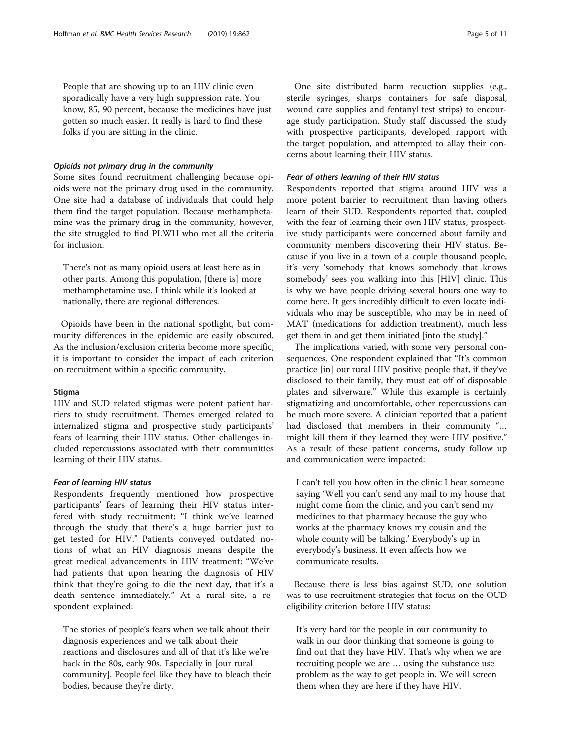People that are showing up to an HIV clinic even sporadically have a very high suppression rate. You know, 85, 90 percent, because the medicines have just gotten so much easier. It really is hard to find these folks if you are sitting in the clinic.

#### Opioids not primary drug in the community

Some sites found recruitment challenging because opioids were not the primary drug used in the community. One site had a database of individuals that could help them find the target population. Because methamphetamine was the primary drug in the community, however, the site struggled to find PLWH who met all the criteria for inclusion.

There's not as many opioid users at least here as in other parts. Among this population, [there is] more methamphetamine use. I think while it's looked at nationally, there are regional differences.

Opioids have been in the national spotlight, but community differences in the epidemic are easily obscured. As the inclusion/exclusion criteria become more specific, it is important to consider the impact of each criterion on recruitment within a specific community.

#### **Stigma**

HIV and SUD related stigmas were potent patient barriers to study recruitment. Themes emerged related to internalized stigma and prospective study participants' fears of learning their HIV status. Other challenges included repercussions associated with their communities learning of their HIV status.

## Fear of learning HIV status

Respondents frequently mentioned how prospective participants' fears of learning their HIV status interfered with study recruitment: "I think we've learned through the study that there's a huge barrier just to get tested for HIV." Patients conveyed outdated notions of what an HIV diagnosis means despite the great medical advancements in HIV treatment: "We've had patients that upon hearing the diagnosis of HIV think that they're going to die the next day, that it's a death sentence immediately." At a rural site, a respondent explained:

The stories of people's fears when we talk about their diagnosis experiences and we talk about their reactions and disclosures and all of that it's like we're back in the 80s, early 90s. Especially in [our rural community]. People feel like they have to bleach their bodies, because they're dirty.

One site distributed harm reduction supplies (e.g., sterile syringes, sharps containers for safe disposal, wound care supplies and fentanyl test strips) to encourage study participation. Study staff discussed the study with prospective participants, developed rapport with the target population, and attempted to allay their concerns about learning their HIV status.

#### Fear of others learning of their HIV status

Respondents reported that stigma around HIV was a more potent barrier to recruitment than having others learn of their SUD. Respondents reported that, coupled with the fear of learning their own HIV status, prospective study participants were concerned about family and community members discovering their HIV status. Because if you live in a town of a couple thousand people, it's very 'somebody that knows somebody that knows somebody' sees you walking into this [HIV] clinic. This is why we have people driving several hours one way to come here. It gets incredibly difficult to even locate individuals who may be susceptible, who may be in need of MAT (medications for addiction treatment), much less get them in and get them initiated [into the study]."

The implications varied, with some very personal consequences. One respondent explained that "It's common practice [in] our rural HIV positive people that, if they've disclosed to their family, they must eat off of disposable plates and silverware." While this example is certainly stigmatizing and uncomfortable, other repercussions can be much more severe. A clinician reported that a patient had disclosed that members in their community "… might kill them if they learned they were HIV positive." As a result of these patient concerns, study follow up and communication were impacted:

I can't tell you how often in the clinic I hear someone saying 'Well you can't send any mail to my house that might come from the clinic, and you can't send my medicines to that pharmacy because the guy who works at the pharmacy knows my cousin and the whole county will be talking.' Everybody's up in everybody's business. It even affects how we communicate results.

Because there is less bias against SUD, one solution was to use recruitment strategies that focus on the OUD eligibility criterion before HIV status:

It's very hard for the people in our community to walk in our door thinking that someone is going to find out that they have HIV. That's why when we are recruiting people we are … using the substance use problem as the way to get people in. We will screen them when they are here if they have HIV.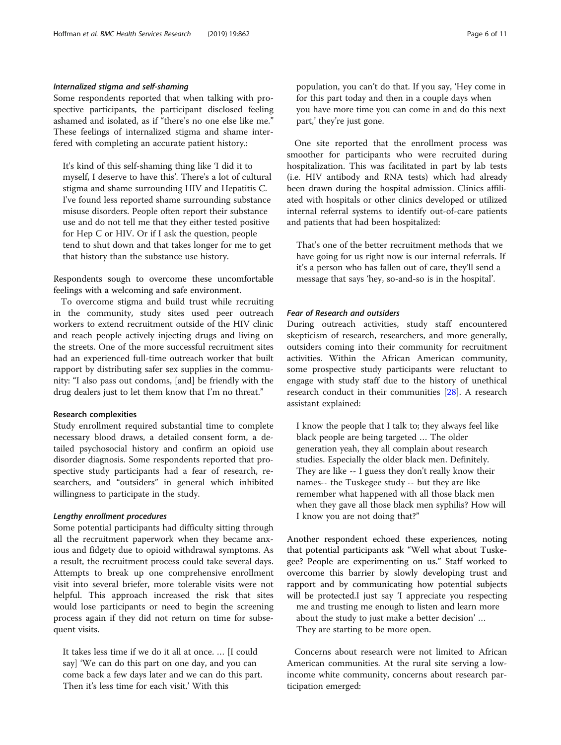### Internalized stigma and self-shaming

Some respondents reported that when talking with prospective participants, the participant disclosed feeling ashamed and isolated, as if "there's no one else like me." These feelings of internalized stigma and shame interfered with completing an accurate patient history.:

It's kind of this self-shaming thing like 'I did it to myself, I deserve to have this'. There's a lot of cultural stigma and shame surrounding HIV and Hepatitis C. I've found less reported shame surrounding substance misuse disorders. People often report their substance use and do not tell me that they either tested positive for Hep C or HIV. Or if I ask the question, people tend to shut down and that takes longer for me to get that history than the substance use history.

Respondents sough to overcome these uncomfortable feelings with a welcoming and safe environment.

To overcome stigma and build trust while recruiting in the community, study sites used peer outreach workers to extend recruitment outside of the HIV clinic and reach people actively injecting drugs and living on the streets. One of the more successful recruitment sites had an experienced full-time outreach worker that built rapport by distributing safer sex supplies in the community: "I also pass out condoms, [and] be friendly with the drug dealers just to let them know that I'm no threat."

#### Research complexities

Study enrollment required substantial time to complete necessary blood draws, a detailed consent form, a detailed psychosocial history and confirm an opioid use disorder diagnosis. Some respondents reported that prospective study participants had a fear of research, researchers, and "outsiders" in general which inhibited willingness to participate in the study.

#### Lengthy enrollment procedures

Some potential participants had difficulty sitting through all the recruitment paperwork when they became anxious and fidgety due to opioid withdrawal symptoms. As a result, the recruitment process could take several days. Attempts to break up one comprehensive enrollment visit into several briefer, more tolerable visits were not helpful. This approach increased the risk that sites would lose participants or need to begin the screening process again if they did not return on time for subsequent visits.

It takes less time if we do it all at once. … [I could say] 'We can do this part on one day, and you can come back a few days later and we can do this part. Then it's less time for each visit.' With this

population, you can't do that. If you say, 'Hey come in for this part today and then in a couple days when you have more time you can come in and do this next part,' they're just gone.

One site reported that the enrollment process was smoother for participants who were recruited during hospitalization. This was facilitated in part by lab tests (i.e. HIV antibody and RNA tests) which had already been drawn during the hospital admission. Clinics affiliated with hospitals or other clinics developed or utilized internal referral systems to identify out-of-care patients and patients that had been hospitalized:

That's one of the better recruitment methods that we have going for us right now is our internal referrals. If it's a person who has fallen out of care, they'll send a message that says 'hey, so-and-so is in the hospital'.

## Fear of Research and outsiders

During outreach activities, study staff encountered skepticism of research, researchers, and more generally, outsiders coming into their community for recruitment activities. Within the African American community, some prospective study participants were reluctant to engage with study staff due to the history of unethical research conduct in their communities [[28](#page-10-0)]. A research assistant explained:

I know the people that I talk to; they always feel like black people are being targeted … The older generation yeah, they all complain about research studies. Especially the older black men. Definitely. They are like -- I guess they don't really know their names-- the Tuskegee study -- but they are like remember what happened with all those black men when they gave all those black men syphilis? How will I know you are not doing that?"

Another respondent echoed these experiences, noting that potential participants ask "Well what about Tuskegee? People are experimenting on us." Staff worked to overcome this barrier by slowly developing trust and rapport and by communicating how potential subjects will be protected.I just say 'I appreciate you respecting

me and trusting me enough to listen and learn more about the study to just make a better decision' …

They are starting to be more open.

Concerns about research were not limited to African American communities. At the rural site serving a lowincome white community, concerns about research participation emerged: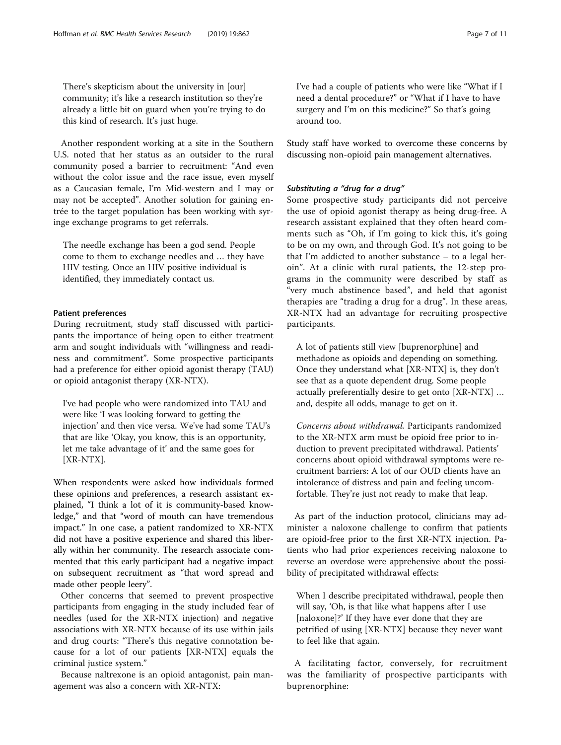There's skepticism about the university in [our] community; it's like a research institution so they're already a little bit on guard when you're trying to do this kind of research. It's just huge.

Another respondent working at a site in the Southern U.S. noted that her status as an outsider to the rural community posed a barrier to recruitment: "And even without the color issue and the race issue, even myself as a Caucasian female, I'm Mid-western and I may or may not be accepted". Another solution for gaining entrée to the target population has been working with syringe exchange programs to get referrals.

The needle exchange has been a god send. People come to them to exchange needles and … they have HIV testing. Once an HIV positive individual is identified, they immediately contact us.

## Patient preferences

During recruitment, study staff discussed with participants the importance of being open to either treatment arm and sought individuals with "willingness and readiness and commitment". Some prospective participants had a preference for either opioid agonist therapy (TAU) or opioid antagonist therapy (XR-NTX).

I've had people who were randomized into TAU and were like 'I was looking forward to getting the injection' and then vice versa. We've had some TAU's that are like 'Okay, you know, this is an opportunity, let me take advantage of it' and the same goes for [XR-NTX].

When respondents were asked how individuals formed these opinions and preferences, a research assistant explained, "I think a lot of it is community-based knowledge," and that "word of mouth can have tremendous impact." In one case, a patient randomized to XR-NTX did not have a positive experience and shared this liberally within her community. The research associate commented that this early participant had a negative impact on subsequent recruitment as "that word spread and made other people leery".

Other concerns that seemed to prevent prospective participants from engaging in the study included fear of needles (used for the XR-NTX injection) and negative associations with XR-NTX because of its use within jails and drug courts: "There's this negative connotation because for a lot of our patients [XR-NTX] equals the criminal justice system."

Because naltrexone is an opioid antagonist, pain management was also a concern with XR-NTX:

I've had a couple of patients who were like "What if I need a dental procedure?" or "What if I have to have surgery and I'm on this medicine?" So that's going around too.

Study staff have worked to overcome these concerns by discussing non-opioid pain management alternatives.

## Substituting a "drug for a drug"

Some prospective study participants did not perceive the use of opioid agonist therapy as being drug-free. A research assistant explained that they often heard comments such as "Oh, if I'm going to kick this, it's going to be on my own, and through God. It's not going to be that I'm addicted to another substance – to a legal heroin". At a clinic with rural patients, the 12-step programs in the community were described by staff as "very much abstinence based", and held that agonist therapies are "trading a drug for a drug". In these areas, XR-NTX had an advantage for recruiting prospective participants.

A lot of patients still view [buprenorphine] and methadone as opioids and depending on something. Once they understand what [XR-NTX] is, they don't see that as a quote dependent drug. Some people actually preferentially desire to get onto [XR-NTX] … and, despite all odds, manage to get on it.

Concerns about withdrawal. Participants randomized to the XR-NTX arm must be opioid free prior to induction to prevent precipitated withdrawal. Patients' concerns about opioid withdrawal symptoms were recruitment barriers: A lot of our OUD clients have an intolerance of distress and pain and feeling uncomfortable. They're just not ready to make that leap.

As part of the induction protocol, clinicians may administer a naloxone challenge to confirm that patients are opioid-free prior to the first XR-NTX injection. Patients who had prior experiences receiving naloxone to reverse an overdose were apprehensive about the possibility of precipitated withdrawal effects:

When I describe precipitated withdrawal, people then will say, 'Oh, is that like what happens after I use [naloxone]?' If they have ever done that they are petrified of using [XR-NTX] because they never want to feel like that again.

A facilitating factor, conversely, for recruitment was the familiarity of prospective participants with buprenorphine: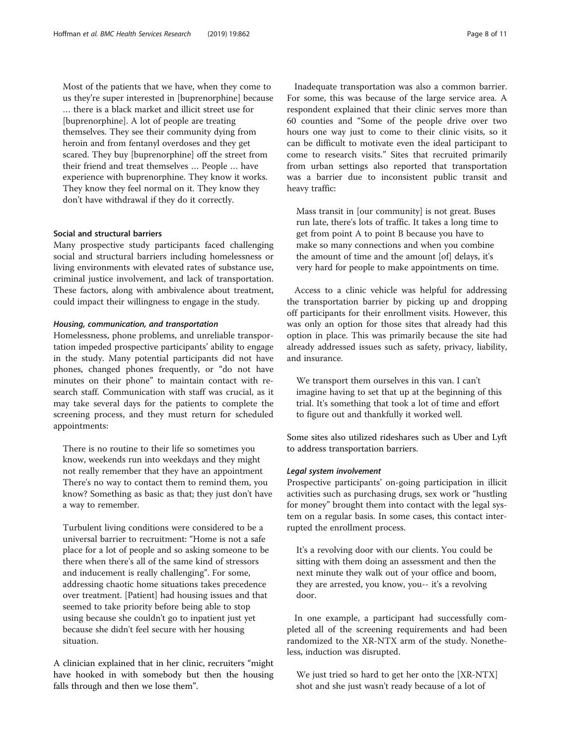Most of the patients that we have, when they come to us they're super interested in [buprenorphine] because … there is a black market and illicit street use for [buprenorphine]. A lot of people are treating themselves. They see their community dying from heroin and from fentanyl overdoses and they get scared. They buy [buprenorphine] off the street from their friend and treat themselves … People … have experience with buprenorphine. They know it works. They know they feel normal on it. They know they don't have withdrawal if they do it correctly.

#### Social and structural barriers

Many prospective study participants faced challenging social and structural barriers including homelessness or living environments with elevated rates of substance use, criminal justice involvement, and lack of transportation. These factors, along with ambivalence about treatment, could impact their willingness to engage in the study.

#### Housing, communication, and transportation

Homelessness, phone problems, and unreliable transportation impeded prospective participants' ability to engage in the study. Many potential participants did not have phones, changed phones frequently, or "do not have minutes on their phone" to maintain contact with research staff. Communication with staff was crucial, as it may take several days for the patients to complete the screening process, and they must return for scheduled appointments:

There is no routine to their life so sometimes you know, weekends run into weekdays and they might not really remember that they have an appointment There's no way to contact them to remind them, you know? Something as basic as that; they just don't have a way to remember.

Turbulent living conditions were considered to be a universal barrier to recruitment: "Home is not a safe place for a lot of people and so asking someone to be there when there's all of the same kind of stressors and inducement is really challenging". For some, addressing chaotic home situations takes precedence over treatment. [Patient] had housing issues and that seemed to take priority before being able to stop using because she couldn't go to inpatient just yet because she didn't feel secure with her housing situation.

A clinician explained that in her clinic, recruiters "might have hooked in with somebody but then the housing falls through and then we lose them".

Inadequate transportation was also a common barrier. For some, this was because of the large service area. A respondent explained that their clinic serves more than 60 counties and "Some of the people drive over two hours one way just to come to their clinic visits, so it can be difficult to motivate even the ideal participant to come to research visits." Sites that recruited primarily from urban settings also reported that transportation was a barrier due to inconsistent public transit and heavy traffic:

Mass transit in [our community] is not great. Buses run late, there's lots of traffic. It takes a long time to get from point A to point B because you have to make so many connections and when you combine the amount of time and the amount [of] delays, it's very hard for people to make appointments on time.

Access to a clinic vehicle was helpful for addressing the transportation barrier by picking up and dropping off participants for their enrollment visits. However, this was only an option for those sites that already had this option in place. This was primarily because the site had already addressed issues such as safety, privacy, liability, and insurance.

We transport them ourselves in this van. I can't imagine having to set that up at the beginning of this trial. It's something that took a lot of time and effort to figure out and thankfully it worked well.

Some sites also utilized rideshares such as Uber and Lyft to address transportation barriers.

#### Legal system involvement

Prospective participants' on-going participation in illicit activities such as purchasing drugs, sex work or "hustling for money" brought them into contact with the legal system on a regular basis. In some cases, this contact interrupted the enrollment process.

It's a revolving door with our clients. You could be sitting with them doing an assessment and then the next minute they walk out of your office and boom, they are arrested, you know, you-- it's a revolving door.

In one example, a participant had successfully completed all of the screening requirements and had been randomized to the XR-NTX arm of the study. Nonetheless, induction was disrupted.

We just tried so hard to get her onto the [XR-NTX] shot and she just wasn't ready because of a lot of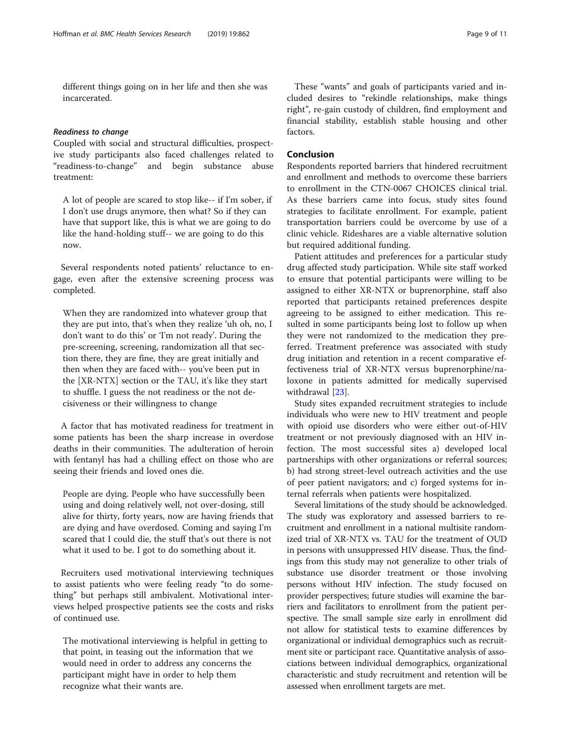different things going on in her life and then she was incarcerated.

### Readiness to change

Coupled with social and structural difficulties, prospective study participants also faced challenges related to "readiness-to-change" and begin substance abuse treatment:

A lot of people are scared to stop like-- if I'm sober, if I don't use drugs anymore, then what? So if they can have that support like, this is what we are going to do like the hand-holding stuff-- we are going to do this now.

Several respondents noted patients' reluctance to engage, even after the extensive screening process was completed.

When they are randomized into whatever group that they are put into, that's when they realize 'uh oh, no, I don't want to do this' or 'I'm not ready'. During the pre-screening, screening, randomization all that section there, they are fine, they are great initially and then when they are faced with-- you've been put in the [XR-NTX] section or the TAU, it's like they start to shuffle. I guess the not readiness or the not decisiveness or their willingness to change

A factor that has motivated readiness for treatment in some patients has been the sharp increase in overdose deaths in their communities. The adulteration of heroin with fentanyl has had a chilling effect on those who are seeing their friends and loved ones die.

People are dying. People who have successfully been using and doing relatively well, not over-dosing, still alive for thirty, forty years, now are having friends that are dying and have overdosed. Coming and saying I'm scared that I could die, the stuff that's out there is not what it used to be. I got to do something about it.

Recruiters used motivational interviewing techniques to assist patients who were feeling ready "to do something" but perhaps still ambivalent. Motivational interviews helped prospective patients see the costs and risks of continued use.

The motivational interviewing is helpful in getting to that point, in teasing out the information that we would need in order to address any concerns the participant might have in order to help them recognize what their wants are.

These "wants" and goals of participants varied and included desires to "rekindle relationships, make things right", re-gain custody of children, find employment and financial stability, establish stable housing and other factors.

## Conclusion

Respondents reported barriers that hindered recruitment and enrollment and methods to overcome these barriers to enrollment in the CTN-0067 CHOICES clinical trial. As these barriers came into focus, study sites found strategies to facilitate enrollment. For example, patient transportation barriers could be overcome by use of a clinic vehicle. Rideshares are a viable alternative solution but required additional funding.

Patient attitudes and preferences for a particular study drug affected study participation. While site staff worked to ensure that potential participants were willing to be assigned to either XR-NTX or buprenorphine, staff also reported that participants retained preferences despite agreeing to be assigned to either medication. This resulted in some participants being lost to follow up when they were not randomized to the medication they preferred. Treatment preference was associated with study drug initiation and retention in a recent comparative effectiveness trial of XR-NTX versus buprenorphine/naloxone in patients admitted for medically supervised withdrawal [[23\]](#page-10-0).

Study sites expanded recruitment strategies to include individuals who were new to HIV treatment and people with opioid use disorders who were either out-of-HIV treatment or not previously diagnosed with an HIV infection. The most successful sites a) developed local partnerships with other organizations or referral sources; b) had strong street-level outreach activities and the use of peer patient navigators; and c) forged systems for internal referrals when patients were hospitalized.

Several limitations of the study should be acknowledged. The study was exploratory and assessed barriers to recruitment and enrollment in a national multisite randomized trial of XR-NTX vs. TAU for the treatment of OUD in persons with unsuppressed HIV disease. Thus, the findings from this study may not generalize to other trials of substance use disorder treatment or those involving persons without HIV infection. The study focused on provider perspectives; future studies will examine the barriers and facilitators to enrollment from the patient perspective. The small sample size early in enrollment did not allow for statistical tests to examine differences by organizational or individual demographics such as recruitment site or participant race. Quantitative analysis of associations between individual demographics, organizational characteristic and study recruitment and retention will be assessed when enrollment targets are met.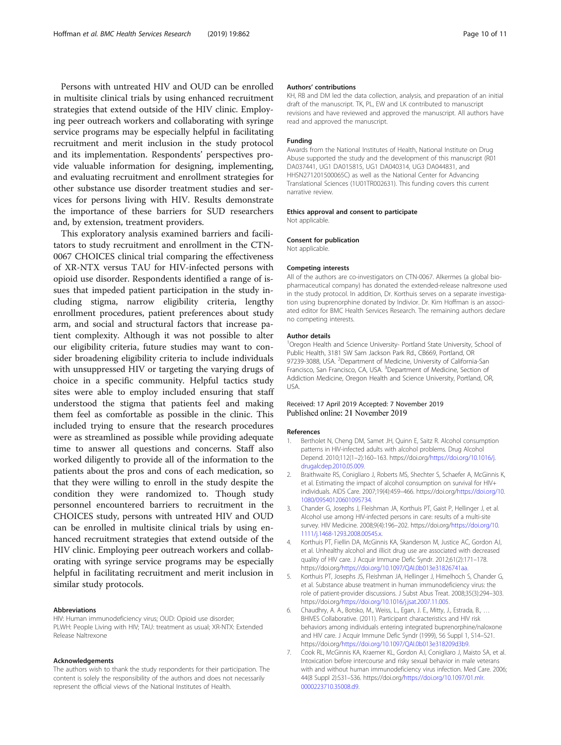<span id="page-9-0"></span>Persons with untreated HIV and OUD can be enrolled in multisite clinical trials by using enhanced recruitment strategies that extend outside of the HIV clinic. Employing peer outreach workers and collaborating with syringe service programs may be especially helpful in facilitating recruitment and merit inclusion in the study protocol and its implementation. Respondents' perspectives provide valuable information for designing, implementing, and evaluating recruitment and enrollment strategies for other substance use disorder treatment studies and services for persons living with HIV. Results demonstrate the importance of these barriers for SUD researchers and, by extension, treatment providers.

This exploratory analysis examined barriers and facilitators to study recruitment and enrollment in the CTN-0067 CHOICES clinical trial comparing the effectiveness of XR-NTX versus TAU for HIV-infected persons with opioid use disorder. Respondents identified a range of issues that impeded patient participation in the study including stigma, narrow eligibility criteria, lengthy enrollment procedures, patient preferences about study arm, and social and structural factors that increase patient complexity. Although it was not possible to alter our eligibility criteria, future studies may want to consider broadening eligibility criteria to include individuals with unsuppressed HIV or targeting the varying drugs of choice in a specific community. Helpful tactics study sites were able to employ included ensuring that staff understood the stigma that patients feel and making them feel as comfortable as possible in the clinic. This included trying to ensure that the research procedures were as streamlined as possible while providing adequate time to answer all questions and concerns. Staff also worked diligently to provide all of the information to the patients about the pros and cons of each medication, so that they were willing to enroll in the study despite the condition they were randomized to. Though study personnel encountered barriers to recruitment in the CHOICES study, persons with untreated HIV and OUD can be enrolled in multisite clinical trials by using enhanced recruitment strategies that extend outside of the HIV clinic. Employing peer outreach workers and collaborating with syringe service programs may be especially helpful in facilitating recruitment and merit inclusion in similar study protocols.

#### Abbreviations

HIV: Human immunodeficiency virus; OUD: Opioid use disorder; PLWH: People Living with HIV; TAU: treatment as usual; XR-NTX: Extended Release Naltrexone

#### Acknowledgements

The authors wish to thank the study respondents for their participation. The content is solely the responsibility of the authors and does not necessarily represent the official views of the National Institutes of Health.

#### Authors' contributions

KH, RB and DM led the data collection, analysis, and preparation of an initial draft of the manuscript. TK, PL, EW and LK contributed to manuscript revisions and have reviewed and approved the manuscript. All authors have read and approved the manuscript.

#### Funding

Awards from the National Institutes of Health, National Institute on Drug Abuse supported the study and the development of this manuscript (R01 DA037441, UG1 DA015815, UG1 DA040314, UG3 DA044831, and HHSN271201500065C) as well as the National Center for Advancing Translational Sciences (1U01TR002631). This funding covers this current narrative review.

#### Ethics approval and consent to participate

Not applicable.

#### Consent for publication

Not applicable.

#### Competing interests

All of the authors are co-investigators on CTN-0067. Alkermes (a global biopharmaceutical company) has donated the extended-release naltrexone used in the study protocol. In addition, Dr. Korthuis serves on a separate investigation using buprenorphine donated by Indivior. Dr. Kim Hoffman is an associated editor for BMC Health Services Research. The remaining authors declare no competing interests.

#### Author details

<sup>1</sup>Oregon Health and Science University- Portland State University, School of Public Health, 3181 SW Sam Jackson Park Rd., CB669, Portland, OR 97239-3088, USA. <sup>2</sup>Department of Medicine, University of California-San Francisco, San Francisco, CA, USA. <sup>3</sup>Department of Medicine, Section of Addiction Medicine, Oregon Health and Science University, Portland, OR, USA.

#### Received: 17 April 2019 Accepted: 7 November 2019 Published online: 21 November 2019

#### References

- 1. Bertholet N, Cheng DM, Samet JH, Quinn E, Saitz R. Alcohol consumption patterns in HIV-infected adults with alcohol problems. Drug Alcohol Depend. 2010;112(1–2):160–163. https://doi.org/[https://doi.org/10.1016/j.](https://doi.org/10.1016/j.drugalcdep.2010.05.009) [drugalcdep.2010.05.009](https://doi.org/10.1016/j.drugalcdep.2010.05.009).
- 2. Braithwaite RS, Conigliaro J, Roberts MS, Shechter S, Schaefer A, McGinnis K, et al. Estimating the impact of alcohol consumption on survival for HIV+ individuals. AIDS Care. 2007;19(4):459–466. https://doi.org[/https://doi.org/10.](https://doi.org/10.1080/09540120601095734) [1080/09540120601095734.](https://doi.org/10.1080/09540120601095734)
- 3. Chander G, Josephs J, Fleishman JA, Korthuis PT, Gaist P, Hellinger J, et al. Alcohol use among HIV-infected persons in care: results of a multi-site survey. HIV Medicine. 2008;9(4):196–202. https://doi.org[/https://doi.org/10.](https://doi.org/10.1111/j.1468-1293.2008.00545.x) [1111/j.1468-1293.2008.00545.x](https://doi.org/10.1111/j.1468-1293.2008.00545.x).
- 4. Korthuis PT, Fiellin DA, McGinnis KA, Skanderson M, Justice AC, Gordon AJ, et al. Unhealthy alcohol and illicit drug use are associated with decreased quality of HIV care. J Acquir Immune Defic Syndr. 2012;61(2):171–178. https://doi.org/<https://doi.org/10.1097/QAI.0b013e31826741aa>.
- 5. Korthuis PT, Josephs JS, Fleishman JA, Hellinger J, Himelhoch S, Chander G, et al. Substance abuse treatment in human immunodeficiency virus: the role of patient-provider discussions. J Subst Abus Treat. 2008;35(3):294–303. https://doi.org/<https://doi.org/10.1016/j.jsat.2007.11.005>.
- 6. Chaudhry, A. A., Botsko, M., Weiss, L., Egan, J. E., Mitty, J., Estrada, B., … BHIVES Collaborative. (2011). Participant characteristics and HIV risk behaviors among individuals entering integrated buprenorphine/naloxone and HIV care. J Acquir Immune Defic Syndr (1999), 56 Suppl 1, S14–S21. https://doi.org/[https://doi.org/10.1097/QAI.0b013e318209d3b9.](https://doi.org/10.1097/QAI.0b013e318209d3b9)
- 7. Cook RL, McGinnis KA, Kraemer KL, Gordon AJ, Conigliaro J, Maisto SA, et al. Intoxication before intercourse and risky sexual behavior in male veterans with and without human immunodeficiency virus infection. Med Care. 2006; 44(8 Suppl 2):S31–S36. https://doi.org/[https://doi.org/10.1097/01.mlr.](https://doi.org/10.1097/01.mlr.0000223710.35008.d9) [0000223710.35008.d9.](https://doi.org/10.1097/01.mlr.0000223710.35008.d9)